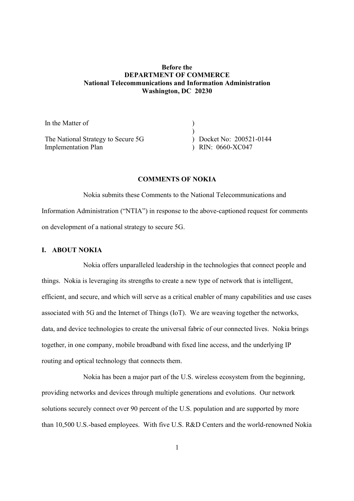# Before the DEPARTMENT OF COMMERCE National Telecommunications and Information Administration Washington, DC 20230

| In the Matter of                   |                            |
|------------------------------------|----------------------------|
|                                    |                            |
| The National Strategy to Secure 5G | $)$ Docket No: 200521-0144 |
| Implementation Plan                | $)$ RIN: 0660-XC047        |

#### COMMENTS OF NOKIA

Nokia submits these Comments to the National Telecommunications and Information Administration ("NTIA") in response to the above-captioned request for comments on development of a national strategy to secure 5G.

# I. ABOUT NOKIA

Nokia offers unparalleled leadership in the technologies that connect people and things. Nokia is leveraging its strengths to create a new type of network that is intelligent, efficient, and secure, and which will serve as a critical enabler of many capabilities and use cases associated with 5G and the Internet of Things (IoT). We are weaving together the networks, data, and device technologies to create the universal fabric of our connected lives. Nokia brings together, in one company, mobile broadband with fixed line access, and the underlying IP routing and optical technology that connects them.

Nokia has been a major part of the U.S. wireless ecosystem from the beginning, providing networks and devices through multiple generations and evolutions. Our network solutions securely connect over 90 percent of the U.S. population and are supported by more than 10,500 U.S.-based employees. With five U.S. R&D Centers and the world-renowned Nokia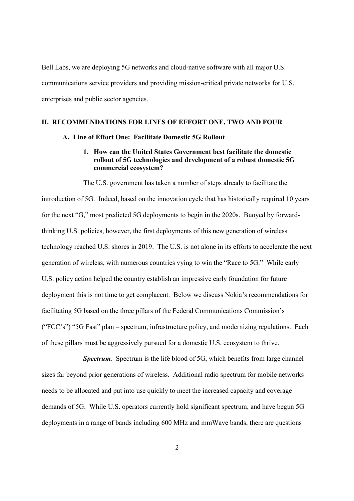Bell Labs, we are deploying 5G networks and cloud-native software with all major U.S. communications service providers and providing mission-critical private networks for U.S. enterprises and public sector agencies.

# II. RECOMMENDATIONS FOR LINES OF EFFORT ONE, TWO AND FOUR

#### A. Line of Effort One: Facilitate Domestic 5G Rollout

# 1. How can the United States Government best facilitate the domestic rollout of 5G technologies and development of a robust domestic 5G commercial ecosystem?

The U.S. government has taken a number of steps already to facilitate the introduction of 5G. Indeed, based on the innovation cycle that has historically required 10 years for the next "G," most predicted 5G deployments to begin in the 2020s. Buoyed by forwardthinking U.S. policies, however, the first deployments of this new generation of wireless technology reached U.S. shores in 2019. The U.S. is not alone in its efforts to accelerate the next generation of wireless, with numerous countries vying to win the "Race to 5G." While early U.S. policy action helped the country establish an impressive early foundation for future deployment this is not time to get complacent. Below we discuss Nokia's recommendations for facilitating 5G based on the three pillars of the Federal Communications Commission's ("FCC's") "5G Fast" plan – spectrum, infrastructure policy, and modernizing regulations. Each of these pillars must be aggressively pursued for a domestic U.S. ecosystem to thrive.

Spectrum. Spectrum is the life blood of 5G, which benefits from large channel sizes far beyond prior generations of wireless. Additional radio spectrum for mobile networks needs to be allocated and put into use quickly to meet the increased capacity and coverage demands of 5G. While U.S. operators currently hold significant spectrum, and have begun 5G deployments in a range of bands including 600 MHz and mmWave bands, there are questions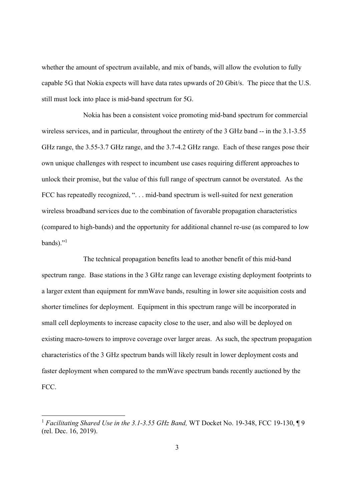whether the amount of spectrum available, and mix of bands, will allow the evolution to fully capable 5G that Nokia expects will have data rates upwards of 20 Gbit/s. The piece that the U.S. still must lock into place is mid-band spectrum for 5G.

Nokia has been a consistent voice promoting mid-band spectrum for commercial wireless services, and in particular, throughout the entirety of the 3 GHz band -- in the 3.1-3.55 GHz range, the 3.55-3.7 GHz range, and the 3.7-4.2 GHz range. Each of these ranges pose their own unique challenges with respect to incumbent use cases requiring different approaches to unlock their promise, but the value of this full range of spectrum cannot be overstated. As the FCC has repeatedly recognized, ". . . mid-band spectrum is well-suited for next generation wireless broadband services due to the combination of favorable propagation characteristics (compared to high-bands) and the opportunity for additional channel re-use (as compared to low bands)."<sup>1</sup>

The technical propagation benefits lead to another benefit of this mid-band spectrum range. Base stations in the 3 GHz range can leverage existing deployment footprints to a larger extent than equipment for mmWave bands, resulting in lower site acquisition costs and shorter timelines for deployment. Equipment in this spectrum range will be incorporated in small cell deployments to increase capacity close to the user, and also will be deployed on existing macro-towers to improve coverage over larger areas. As such, the spectrum propagation characteristics of the 3 GHz spectrum bands will likely result in lower deployment costs and faster deployment when compared to the mmWave spectrum bands recently auctioned by the FCC.

<sup>&</sup>lt;sup>1</sup> Facilitating Shared Use in the 3.1-3.55 GHz Band, WT Docket No. 19-348, FCC 19-130,  $\P$ 9 (rel. Dec. 16, 2019).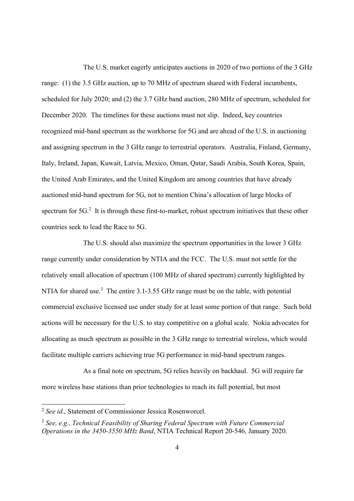The U.S. market eagerly anticipates auctions in 2020 of two portions of the 3 GHz range: (1) the 3.5 GHz auction, up to 70 MHz of spectrum shared with Federal incumbents, scheduled for July 2020; and (2) the 3.7 GHz band auction, 280 MHz of spectrum, scheduled for December 2020. The timelines for these auctions must not slip. Indeed, key countries recognized mid-band spectrum as the workhorse for 5G and are ahead of the U.S. in auctioning and assigning spectrum in the 3 GHz range to terrestrial operators. Australia, Finland, Germany, Italy, Ireland, Japan, Kuwait, Latvia, Mexico, Oman, Qatar, Saudi Arabia, South Korea, Spain, the United Arab Emirates, and the United Kingdom are among countries that have already auctioned mid-band spectrum for 5G, not to mention China's allocation of large blocks of spectrum for  $5G<sup>2</sup>$  It is through these first-to-market, robust spectrum initiatives that these other countries seek to lead the Race to 5G.

The U.S. should also maximize the spectrum opportunities in the lower 3 GHz range currently under consideration by NTIA and the FCC. The U.S. must not settle for the relatively small allocation of spectrum (100 MHz of shared spectrum) currently highlighted by NTIA for shared use.<sup>3</sup> The entire 3.1-3.55 GHz range must be on the table, with potential commercial exclusive licensed use under study for at least some portion of that range. Such bold actions will be necessary for the U.S. to stay competitive on a global scale. Nokia advocates for allocating as much spectrum as possible in the 3 GHz range to terrestrial wireless, which would facilitate multiple carriers achieving true 5G performance in mid-band spectrum ranges.

As a final note on spectrum, 5G relies heavily on backhaul. 5G will require far more wireless base stations than prior technologies to reach its full potential, but most

<sup>2</sup> See id., Statement of Commissioner Jessica Rosenworcel.

 $3$  See, e.g., Technical Feasibility of Sharing Federal Spectrum with Future Commercial Operations in the 3450-3550 MHz Band, NTIA Technical Report 20-546, January 2020.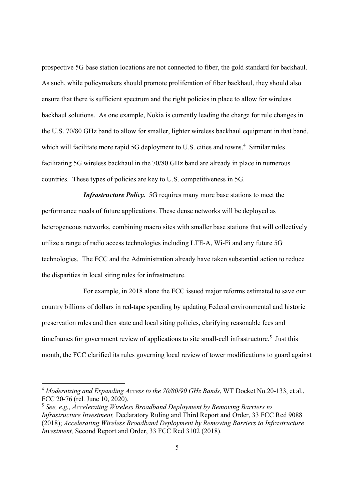prospective 5G base station locations are not connected to fiber, the gold standard for backhaul. As such, while policymakers should promote proliferation of fiber backhaul, they should also ensure that there is sufficient spectrum and the right policies in place to allow for wireless backhaul solutions. As one example, Nokia is currently leading the charge for rule changes in the U.S. 70/80 GHz band to allow for smaller, lighter wireless backhaul equipment in that band, which will facilitate more rapid 5G deployment to U.S. cities and towns. $4$  Similar rules facilitating 5G wireless backhaul in the 70/80 GHz band are already in place in numerous countries. These types of policies are key to U.S. competitiveness in 5G.

Infrastructure Policy. 5G requires many more base stations to meet the performance needs of future applications. These dense networks will be deployed as heterogeneous networks, combining macro sites with smaller base stations that will collectively utilize a range of radio access technologies including LTE-A, Wi-Fi and any future 5G technologies. The FCC and the Administration already have taken substantial action to reduce the disparities in local siting rules for infrastructure.

For example, in 2018 alone the FCC issued major reforms estimated to save our country billions of dollars in red-tape spending by updating Federal environmental and historic preservation rules and then state and local siting policies, clarifying reasonable fees and time frames for government review of applications to site small-cell infrastructure.<sup>5</sup> Just this month, the FCC clarified its rules governing local review of tower modifications to guard against

<sup>&</sup>lt;sup>4</sup> Modernizing and Expanding Access to the 70/80/90 GHz Bands, WT Docket No.20-133, et al., FCC 20-76 (rel. June 10, 2020).

 $5$  See, e.g., Accelerating Wireless Broadband Deployment by Removing Barriers to Infrastructure Investment, Declaratory Ruling and Third Report and Order, 33 FCC Rcd 9088 (2018); Accelerating Wireless Broadband Deployment by Removing Barriers to Infrastructure Investment, Second Report and Order, 33 FCC Rcd 3102 (2018).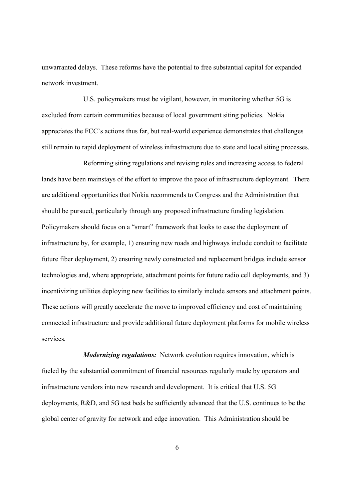unwarranted delays. These reforms have the potential to free substantial capital for expanded network investment.

U.S. policymakers must be vigilant, however, in monitoring whether 5G is excluded from certain communities because of local government siting policies. Nokia appreciates the FCC's actions thus far, but real-world experience demonstrates that challenges still remain to rapid deployment of wireless infrastructure due to state and local siting processes.

Reforming siting regulations and revising rules and increasing access to federal lands have been mainstays of the effort to improve the pace of infrastructure deployment. There are additional opportunities that Nokia recommends to Congress and the Administration that should be pursued, particularly through any proposed infrastructure funding legislation. Policymakers should focus on a "smart" framework that looks to ease the deployment of infrastructure by, for example, 1) ensuring new roads and highways include conduit to facilitate future fiber deployment, 2) ensuring newly constructed and replacement bridges include sensor technologies and, where appropriate, attachment points for future radio cell deployments, and 3) incentivizing utilities deploying new facilities to similarly include sensors and attachment points. These actions will greatly accelerate the move to improved efficiency and cost of maintaining connected infrastructure and provide additional future deployment platforms for mobile wireless services.

**Modernizing regulations:** Network evolution requires innovation, which is fueled by the substantial commitment of financial resources regularly made by operators and infrastructure vendors into new research and development. It is critical that U.S. 5G deployments, R&D, and 5G test beds be sufficiently advanced that the U.S. continues to be the global center of gravity for network and edge innovation. This Administration should be

6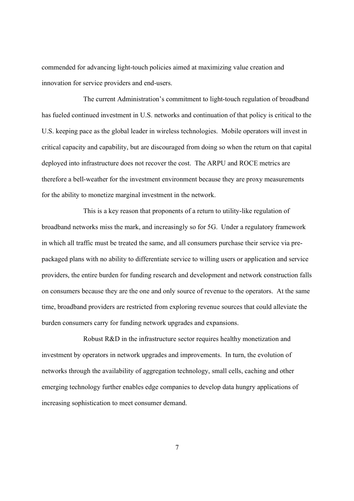commended for advancing light-touch policies aimed at maximizing value creation and innovation for service providers and end-users.

The current Administration's commitment to light-touch regulation of broadband has fueled continued investment in U.S. networks and continuation of that policy is critical to the U.S. keeping pace as the global leader in wireless technologies. Mobile operators will invest in critical capacity and capability, but are discouraged from doing so when the return on that capital deployed into infrastructure does not recover the cost. The ARPU and ROCE metrics are therefore a bell-weather for the investment environment because they are proxy measurements for the ability to monetize marginal investment in the network.

This is a key reason that proponents of a return to utility-like regulation of broadband networks miss the mark, and increasingly so for 5G. Under a regulatory framework in which all traffic must be treated the same, and all consumers purchase their service via prepackaged plans with no ability to differentiate service to willing users or application and service providers, the entire burden for funding research and development and network construction falls on consumers because they are the one and only source of revenue to the operators. At the same time, broadband providers are restricted from exploring revenue sources that could alleviate the burden consumers carry for funding network upgrades and expansions.

Robust R&D in the infrastructure sector requires healthy monetization and investment by operators in network upgrades and improvements. In turn, the evolution of networks through the availability of aggregation technology, small cells, caching and other emerging technology further enables edge companies to develop data hungry applications of increasing sophistication to meet consumer demand.

7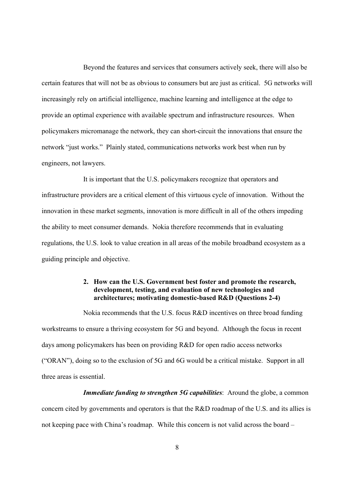Beyond the features and services that consumers actively seek, there will also be certain features that will not be as obvious to consumers but are just as critical. 5G networks will increasingly rely on artificial intelligence, machine learning and intelligence at the edge to provide an optimal experience with available spectrum and infrastructure resources. When policymakers micromanage the network, they can short-circuit the innovations that ensure the network "just works." Plainly stated, communications networks work best when run by engineers, not lawyers.

It is important that the U.S. policymakers recognize that operators and infrastructure providers are a critical element of this virtuous cycle of innovation. Without the innovation in these market segments, innovation is more difficult in all of the others impeding the ability to meet consumer demands. Nokia therefore recommends that in evaluating regulations, the U.S. look to value creation in all areas of the mobile broadband ecosystem as a guiding principle and objective.

## 2. How can the U.S. Government best foster and promote the research, development, testing, and evaluation of new technologies and architectures; motivating domestic-based R&D (Questions 2-4)

Nokia recommends that the U.S. focus R&D incentives on three broad funding workstreams to ensure a thriving ecosystem for 5G and beyond. Although the focus in recent days among policymakers has been on providing R&D for open radio access networks ("ORAN"), doing so to the exclusion of 5G and 6G would be a critical mistake. Support in all three areas is essential.

**Immediate funding to strengthen 5G capabilities:** Around the globe, a common concern cited by governments and operators is that the R&D roadmap of the U.S. and its allies is not keeping pace with China's roadmap. While this concern is not valid across the board –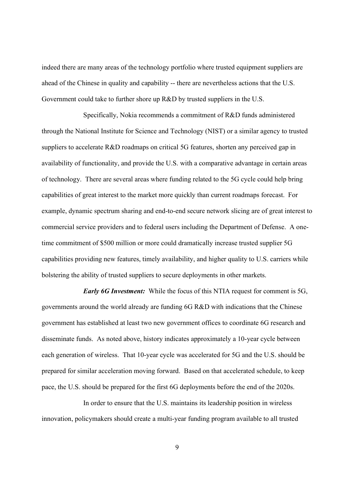indeed there are many areas of the technology portfolio where trusted equipment suppliers are ahead of the Chinese in quality and capability -- there are nevertheless actions that the U.S. Government could take to further shore up R&D by trusted suppliers in the U.S.

Specifically, Nokia recommends a commitment of R&D funds administered through the National Institute for Science and Technology (NIST) or a similar agency to trusted suppliers to accelerate R&D roadmaps on critical 5G features, shorten any perceived gap in availability of functionality, and provide the U.S. with a comparative advantage in certain areas of technology. There are several areas where funding related to the 5G cycle could help bring capabilities of great interest to the market more quickly than current roadmaps forecast. For example, dynamic spectrum sharing and end-to-end secure network slicing are of great interest to commercial service providers and to federal users including the Department of Defense. A onetime commitment of \$500 million or more could dramatically increase trusted supplier 5G capabilities providing new features, timely availability, and higher quality to U.S. carriers while bolstering the ability of trusted suppliers to secure deployments in other markets.

**Early 6G Investment:** While the focus of this NTIA request for comment is 5G, governments around the world already are funding 6G R&D with indications that the Chinese government has established at least two new government offices to coordinate 6G research and disseminate funds. As noted above, history indicates approximately a 10-year cycle between each generation of wireless. That 10-year cycle was accelerated for 5G and the U.S. should be prepared for similar acceleration moving forward. Based on that accelerated schedule, to keep pace, the U.S. should be prepared for the first 6G deployments before the end of the 2020s.

In order to ensure that the U.S. maintains its leadership position in wireless innovation, policymakers should create a multi-year funding program available to all trusted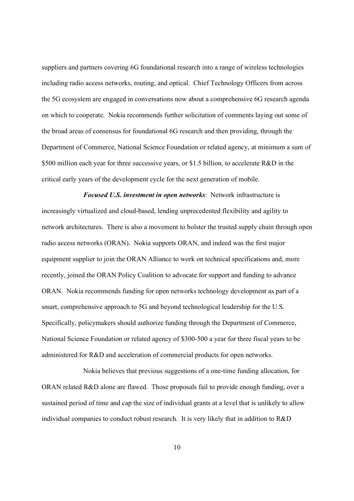suppliers and partners covering 6G foundational research into a range of wireless technologies including radio access networks, routing, and optical. Chief Technology Officers from across the 5G ecosystem are engaged in conversations now about a comprehensive 6G research agenda on which to cooperate. Nokia recommends further solicitation of comments laying out some of the broad areas of consensus for foundational 6G research and then providing, through the Department of Commerce, National Science Foundation or related agency, at minimum a sum of \$500 million each year for three successive years, or \$1.5 billion, to accelerate R&D in the critical early years of the development cycle for the next generation of mobile.

Focused U.S. investment in open networks: Network infrastructure is increasingly virtualized and cloud-based, lending unprecedented flexibility and agility to network architectures. There is also a movement to bolster the trusted supply chain through open radio access networks (ORAN). Nokia supports ORAN, and indeed was the first major equipment supplier to join the ORAN Alliance to work on technical specifications and, more recently, joined the ORAN Policy Coalition to advocate for support and funding to advance ORAN. Nokia recommends funding for open networks technology development as part of a smart, comprehensive approach to 5G and beyond technological leadership for the U.S. Specifically, policymakers should authorize funding through the Department of Commerce, National Science Foundation or related agency of \$300-500 a year for three fiscal years to be administered for R&D and acceleration of commercial products for open networks.

Nokia believes that previous suggestions of a one-time funding allocation, for ORAN related R&D alone are flawed. Those proposals fail to provide enough funding, over a sustained period of time and cap the size of individual grants at a level that is unlikely to allow individual companies to conduct robust research. It is very likely that in addition to R&D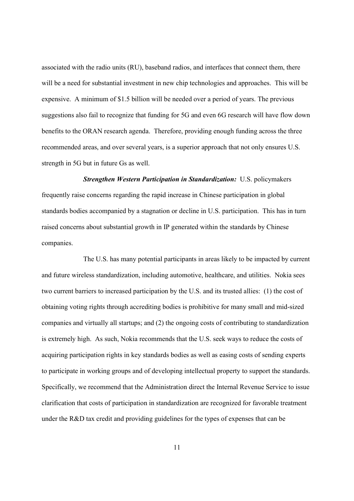associated with the radio units (RU), baseband radios, and interfaces that connect them, there will be a need for substantial investment in new chip technologies and approaches. This will be expensive. A minimum of \$1.5 billion will be needed over a period of years. The previous suggestions also fail to recognize that funding for 5G and even 6G research will have flow down benefits to the ORAN research agenda. Therefore, providing enough funding across the three recommended areas, and over several years, is a superior approach that not only ensures U.S. strength in 5G but in future Gs as well.

Strengthen Western Participation in Standardization: U.S. policymakers frequently raise concerns regarding the rapid increase in Chinese participation in global standards bodies accompanied by a stagnation or decline in U.S. participation. This has in turn raised concerns about substantial growth in IP generated within the standards by Chinese companies.

The U.S. has many potential participants in areas likely to be impacted by current and future wireless standardization, including automotive, healthcare, and utilities. Nokia sees two current barriers to increased participation by the U.S. and its trusted allies: (1) the cost of obtaining voting rights through accrediting bodies is prohibitive for many small and mid-sized companies and virtually all startups; and (2) the ongoing costs of contributing to standardization is extremely high. As such, Nokia recommends that the U.S. seek ways to reduce the costs of acquiring participation rights in key standards bodies as well as easing costs of sending experts to participate in working groups and of developing intellectual property to support the standards. Specifically, we recommend that the Administration direct the Internal Revenue Service to issue clarification that costs of participation in standardization are recognized for favorable treatment under the R&D tax credit and providing guidelines for the types of expenses that can be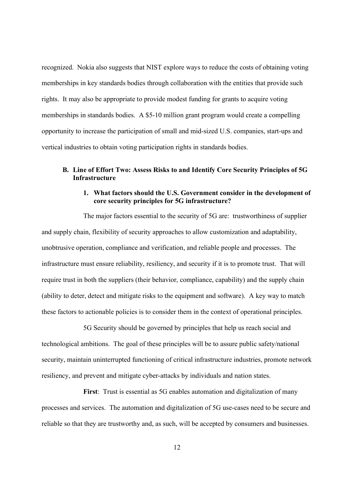recognized. Nokia also suggests that NIST explore ways to reduce the costs of obtaining voting memberships in key standards bodies through collaboration with the entities that provide such rights. It may also be appropriate to provide modest funding for grants to acquire voting memberships in standards bodies. A \$5-10 million grant program would create a compelling opportunity to increase the participation of small and mid-sized U.S. companies, start-ups and vertical industries to obtain voting participation rights in standards bodies.

# B. Line of Effort Two: Assess Risks to and Identify Core Security Principles of 5G **Infrastructure**

# 1. What factors should the U.S. Government consider in the development of core security principles for 5G infrastructure?

The major factors essential to the security of 5G are: trustworthiness of supplier and supply chain, flexibility of security approaches to allow customization and adaptability, unobtrusive operation, compliance and verification, and reliable people and processes. The infrastructure must ensure reliability, resiliency, and security if it is to promote trust. That will require trust in both the suppliers (their behavior, compliance, capability) and the supply chain (ability to deter, detect and mitigate risks to the equipment and software). A key way to match these factors to actionable policies is to consider them in the context of operational principles.

5G Security should be governed by principles that help us reach social and technological ambitions. The goal of these principles will be to assure public safety/national security, maintain uninterrupted functioning of critical infrastructure industries, promote network resiliency, and prevent and mitigate cyber-attacks by individuals and nation states.

First: Trust is essential as 5G enables automation and digitalization of many processes and services. The automation and digitalization of 5G use-cases need to be secure and reliable so that they are trustworthy and, as such, will be accepted by consumers and businesses.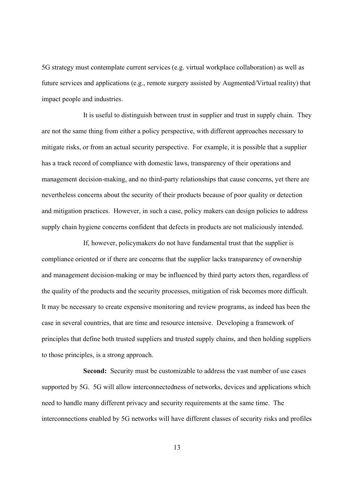5G strategy must contemplate current services (e.g. virtual workplace collaboration) as well as future services and applications (e.g., remote surgery assisted by Augmented/Virtual reality) that impact people and industries.

It is useful to distinguish between trust in supplier and trust in supply chain. They are not the same thing from either a policy perspective, with different approaches necessary to mitigate risks, or from an actual security perspective. For example, it is possible that a supplier has a track record of compliance with domestic laws, transparency of their operations and management decision-making, and no third-party relationships that cause concerns, yet there are nevertheless concerns about the security of their products because of poor quality or detection and mitigation practices. However, in such a case, policy makers can design policies to address supply chain hygiene concerns confident that defects in products are not maliciously intended.

If, however, policymakers do not have fundamental trust that the supplier is compliance oriented or if there are concerns that the supplier lacks transparency of ownership and management decision-making or may be influenced by third party actors then, regardless of the quality of the products and the security processes, mitigation of risk becomes more difficult. It may be necessary to create expensive monitoring and review programs, as indeed has been the case in several countries, that are time and resource intensive. Developing a framework of principles that define both trusted suppliers and trusted supply chains, and then holding suppliers to those principles, is a strong approach.

Second: Security must be customizable to address the vast number of use cases supported by 5G. 5G will allow interconnectedness of networks, devices and applications which need to handle many different privacy and security requirements at the same time. The interconnections enabled by 5G networks will have different classes of security risks and profiles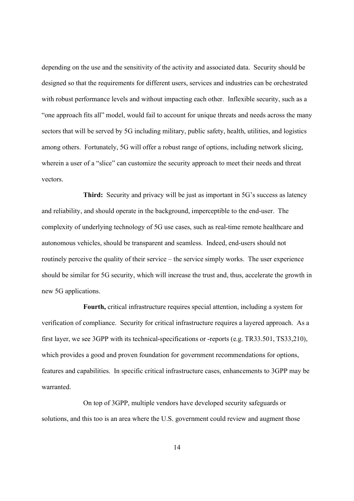depending on the use and the sensitivity of the activity and associated data. Security should be designed so that the requirements for different users, services and industries can be orchestrated with robust performance levels and without impacting each other. Inflexible security, such as a "one approach fits all" model, would fail to account for unique threats and needs across the many sectors that will be served by 5G including military, public safety, health, utilities, and logistics among others. Fortunately, 5G will offer a robust range of options, including network slicing, wherein a user of a "slice" can customize the security approach to meet their needs and threat vectors.

Third: Security and privacy will be just as important in 5G's success as latency and reliability, and should operate in the background, imperceptible to the end-user. The complexity of underlying technology of 5G use cases, such as real-time remote healthcare and autonomous vehicles, should be transparent and seamless. Indeed, end-users should not routinely perceive the quality of their service – the service simply works. The user experience should be similar for 5G security, which will increase the trust and, thus, accelerate the growth in new 5G applications.

Fourth, critical infrastructure requires special attention, including a system for verification of compliance. Security for critical infrastructure requires a layered approach. As a first layer, we see 3GPP with its technical-specifications or -reports (e.g. TR33.501, TS33,210), which provides a good and proven foundation for government recommendations for options, features and capabilities. In specific critical infrastructure cases, enhancements to 3GPP may be warranted.

On top of 3GPP, multiple vendors have developed security safeguards or solutions, and this too is an area where the U.S. government could review and augment those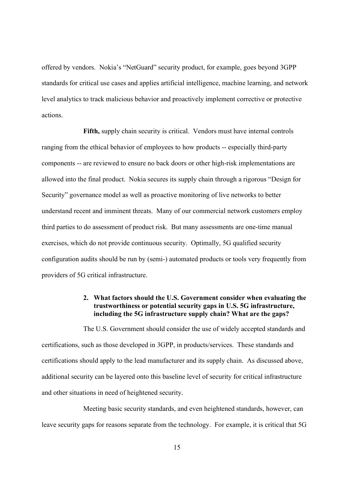offered by vendors. Nokia's "NetGuard" security product, for example, goes beyond 3GPP standards for critical use cases and applies artificial intelligence, machine learning, and network level analytics to track malicious behavior and proactively implement corrective or protective actions.

Fifth, supply chain security is critical. Vendors must have internal controls ranging from the ethical behavior of employees to how products -- especially third-party components -- are reviewed to ensure no back doors or other high-risk implementations are allowed into the final product. Nokia secures its supply chain through a rigorous "Design for Security" governance model as well as proactive monitoring of live networks to better understand recent and imminent threats. Many of our commercial network customers employ third parties to do assessment of product risk. But many assessments are one-time manual exercises, which do not provide continuous security. Optimally, 5G qualified security configuration audits should be run by (semi-) automated products or tools very frequently from providers of 5G critical infrastructure.

# 2. What factors should the U.S. Government consider when evaluating the trustworthiness or potential security gaps in U.S. 5G infrastructure, including the 5G infrastructure supply chain? What are the gaps?

The U.S. Government should consider the use of widely accepted standards and certifications, such as those developed in 3GPP, in products/services. These standards and certifications should apply to the lead manufacturer and its supply chain. As discussed above, additional security can be layered onto this baseline level of security for critical infrastructure and other situations in need of heightened security.

Meeting basic security standards, and even heightened standards, however, can leave security gaps for reasons separate from the technology. For example, it is critical that 5G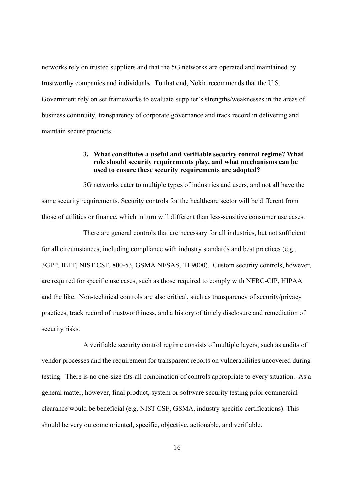networks rely on trusted suppliers and that the 5G networks are operated and maintained by trustworthy companies and individuals. To that end, Nokia recommends that the U.S. Government rely on set frameworks to evaluate supplier's strengths/weaknesses in the areas of business continuity, transparency of corporate governance and track record in delivering and maintain secure products.

# 3. What constitutes a useful and verifiable security control regime? What role should security requirements play, and what mechanisms can be used to ensure these security requirements are adopted?

5G networks cater to multiple types of industries and users, and not all have the same security requirements. Security controls for the healthcare sector will be different from those of utilities or finance, which in turn will different than less-sensitive consumer use cases.

There are general controls that are necessary for all industries, but not sufficient for all circumstances, including compliance with industry standards and best practices (e.g., 3GPP, IETF, NIST CSF, 800-53, GSMA NESAS, TL9000). Custom security controls, however, are required for specific use cases, such as those required to comply with NERC-CIP, HIPAA and the like. Non-technical controls are also critical, such as transparency of security/privacy practices, track record of trustworthiness, and a history of timely disclosure and remediation of security risks.

A verifiable security control regime consists of multiple layers, such as audits of vendor processes and the requirement for transparent reports on vulnerabilities uncovered during testing. There is no one-size-fits-all combination of controls appropriate to every situation. As a general matter, however, final product, system or software security testing prior commercial clearance would be beneficial (e.g. NIST CSF, GSMA, industry specific certifications). This should be very outcome oriented, specific, objective, actionable, and verifiable.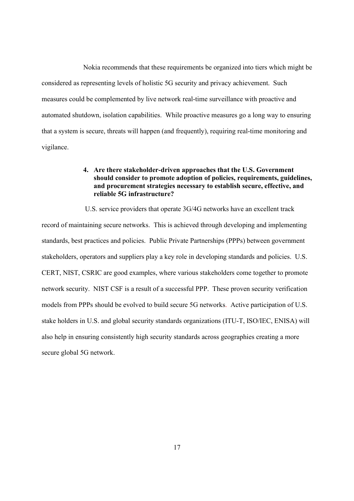Nokia recommends that these requirements be organized into tiers which might be considered as representing levels of holistic 5G security and privacy achievement. Such measures could be complemented by live network real-time surveillance with proactive and automated shutdown, isolation capabilities. While proactive measures go a long way to ensuring that a system is secure, threats will happen (and frequently), requiring real-time monitoring and vigilance.

# 4. Are there stakeholder-driven approaches that the U.S. Government should consider to promote adoption of policies, requirements, guidelines, and procurement strategies necessary to establish secure, effective, and reliable 5G infrastructure?

 U.S. service providers that operate 3G/4G networks have an excellent track record of maintaining secure networks. This is achieved through developing and implementing standards, best practices and policies. Public Private Partnerships (PPPs) between government stakeholders, operators and suppliers play a key role in developing standards and policies. U.S. CERT, NIST, CSRIC are good examples, where various stakeholders come together to promote network security. NIST CSF is a result of a successful PPP. These proven security verification models from PPPs should be evolved to build secure 5G networks. Active participation of U.S. stake holders in U.S. and global security standards organizations (ITU-T, ISO/IEC, ENISA) will also help in ensuring consistently high security standards across geographies creating a more secure global 5G network.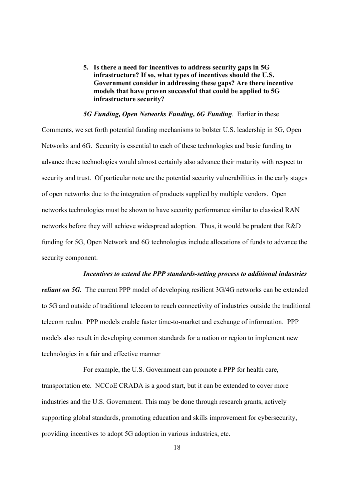5. Is there a need for incentives to address security gaps in 5G infrastructure? If so, what types of incentives should the U.S. Government consider in addressing these gaps? Are there incentive models that have proven successful that could be applied to 5G infrastructure security?

#### 5G Funding, Open Networks Funding, 6G Funding. Earlier in these

Comments, we set forth potential funding mechanisms to bolster U.S. leadership in 5G, Open Networks and 6G. Security is essential to each of these technologies and basic funding to advance these technologies would almost certainly also advance their maturity with respect to security and trust. Of particular note are the potential security vulnerabilities in the early stages of open networks due to the integration of products supplied by multiple vendors. Open networks technologies must be shown to have security performance similar to classical RAN networks before they will achieve widespread adoption. Thus, it would be prudent that R&D funding for 5G, Open Network and 6G technologies include allocations of funds to advance the security component.

#### Incentives to extend the PPP standards-setting process to additional industries

reliant on 5G. The current PPP model of developing resilient 3G/4G networks can be extended to 5G and outside of traditional telecom to reach connectivity of industries outside the traditional telecom realm. PPP models enable faster time-to-market and exchange of information. PPP models also result in developing common standards for a nation or region to implement new technologies in a fair and effective manner

For example, the U.S. Government can promote a PPP for health care, transportation etc. NCCoE CRADA is a good start, but it can be extended to cover more industries and the U.S. Government. This may be done through research grants, actively supporting global standards, promoting education and skills improvement for cybersecurity, providing incentives to adopt 5G adoption in various industries, etc.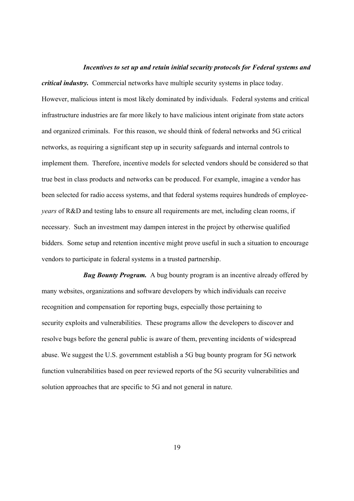#### Incentives to set up and retain initial security protocols for Federal systems and

critical industry. Commercial networks have multiple security systems in place today. However, malicious intent is most likely dominated by individuals. Federal systems and critical infrastructure industries are far more likely to have malicious intent originate from state actors and organized criminals. For this reason, we should think of federal networks and 5G critical networks, as requiring a significant step up in security safeguards and internal controls to implement them. Therefore, incentive models for selected vendors should be considered so that true best in class products and networks can be produced. For example, imagine a vendor has been selected for radio access systems, and that federal systems requires hundreds of employeeyears of R&D and testing labs to ensure all requirements are met, including clean rooms, if necessary. Such an investment may dampen interest in the project by otherwise qualified bidders. Some setup and retention incentive might prove useful in such a situation to encourage vendors to participate in federal systems in a trusted partnership.

**Bug Bounty Program.** A bug bounty program is an incentive already offered by many websites, organizations and software developers by which individuals can receive recognition and compensation for reporting bugs, especially those pertaining to security exploits and vulnerabilities. These programs allow the developers to discover and resolve bugs before the general public is aware of them, preventing incidents of widespread abuse. We suggest the U.S. government establish a 5G bug bounty program for 5G network function vulnerabilities based on peer reviewed reports of the 5G security vulnerabilities and solution approaches that are specific to 5G and not general in nature.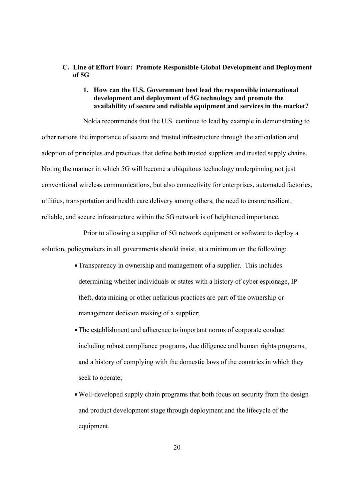# C. Line of Effort Four: Promote Responsible Global Development and Deployment of 5G

# 1. How can the U.S. Government best lead the responsible international development and deployment of 5G technology and promote the availability of secure and reliable equipment and services in the market?

Nokia recommends that the U.S. continue to lead by example in demonstrating to other nations the importance of secure and trusted infrastructure through the articulation and adoption of principles and practices that define both trusted suppliers and trusted supply chains. Noting the manner in which 5G will become a ubiquitous technology underpinning not just conventional wireless communications, but also connectivity for enterprises, automated factories, utilities, transportation and health care delivery among others, the need to ensure resilient, reliable, and secure infrastructure within the 5G network is of heightened importance.

Prior to allowing a supplier of 5G network equipment or software to deploy a solution, policymakers in all governments should insist, at a minimum on the following:

- Transparency in ownership and management of a supplier. This includes determining whether individuals or states with a history of cyber espionage, IP theft, data mining or other nefarious practices are part of the ownership or management decision making of a supplier;
- The establishment and adherence to important norms of corporate conduct including robust compliance programs, due diligence and human rights programs, and a history of complying with the domestic laws of the countries in which they seek to operate;
- Well-developed supply chain programs that both focus on security from the design and product development stage through deployment and the lifecycle of the equipment.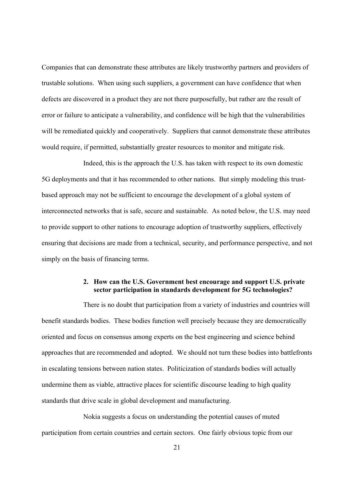Companies that can demonstrate these attributes are likely trustworthy partners and providers of trustable solutions. When using such suppliers, a government can have confidence that when defects are discovered in a product they are not there purposefully, but rather are the result of error or failure to anticipate a vulnerability, and confidence will be high that the vulnerabilities will be remediated quickly and cooperatively. Suppliers that cannot demonstrate these attributes would require, if permitted, substantially greater resources to monitor and mitigate risk.

Indeed, this is the approach the U.S. has taken with respect to its own domestic 5G deployments and that it has recommended to other nations. But simply modeling this trustbased approach may not be sufficient to encourage the development of a global system of interconnected networks that is safe, secure and sustainable. As noted below, the U.S. may need to provide support to other nations to encourage adoption of trustworthy suppliers, effectively ensuring that decisions are made from a technical, security, and performance perspective, and not simply on the basis of financing terms.

# 2. How can the U.S. Government best encourage and support U.S. private sector participation in standards development for 5G technologies?

There is no doubt that participation from a variety of industries and countries will benefit standards bodies. These bodies function well precisely because they are democratically oriented and focus on consensus among experts on the best engineering and science behind approaches that are recommended and adopted. We should not turn these bodies into battlefronts in escalating tensions between nation states. Politicization of standards bodies will actually undermine them as viable, attractive places for scientific discourse leading to high quality standards that drive scale in global development and manufacturing.

Nokia suggests a focus on understanding the potential causes of muted participation from certain countries and certain sectors. One fairly obvious topic from our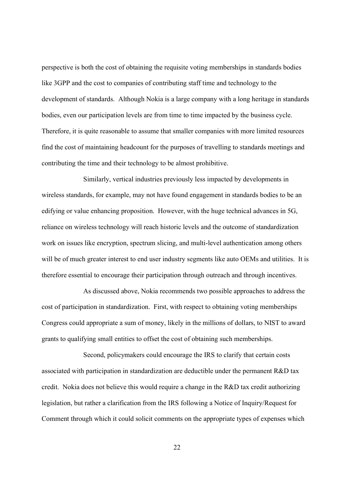perspective is both the cost of obtaining the requisite voting memberships in standards bodies like 3GPP and the cost to companies of contributing staff time and technology to the development of standards. Although Nokia is a large company with a long heritage in standards bodies, even our participation levels are from time to time impacted by the business cycle. Therefore, it is quite reasonable to assume that smaller companies with more limited resources find the cost of maintaining headcount for the purposes of travelling to standards meetings and contributing the time and their technology to be almost prohibitive.

Similarly, vertical industries previously less impacted by developments in wireless standards, for example, may not have found engagement in standards bodies to be an edifying or value enhancing proposition. However, with the huge technical advances in 5G, reliance on wireless technology will reach historic levels and the outcome of standardization work on issues like encryption, spectrum slicing, and multi-level authentication among others will be of much greater interest to end user industry segments like auto OEMs and utilities. It is therefore essential to encourage their participation through outreach and through incentives.

As discussed above, Nokia recommends two possible approaches to address the cost of participation in standardization. First, with respect to obtaining voting memberships Congress could appropriate a sum of money, likely in the millions of dollars, to NIST to award grants to qualifying small entities to offset the cost of obtaining such memberships.

Second, policymakers could encourage the IRS to clarify that certain costs associated with participation in standardization are deductible under the permanent R&D tax credit. Nokia does not believe this would require a change in the R&D tax credit authorizing legislation, but rather a clarification from the IRS following a Notice of Inquiry/Request for Comment through which it could solicit comments on the appropriate types of expenses which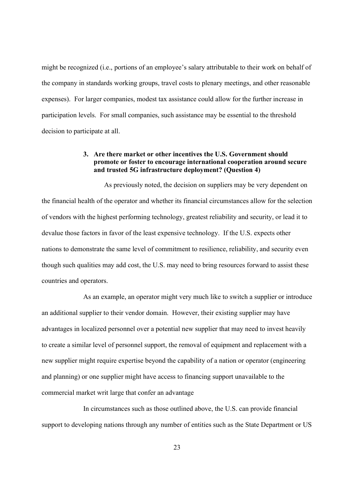might be recognized (i.e., portions of an employee's salary attributable to their work on behalf of the company in standards working groups, travel costs to plenary meetings, and other reasonable expenses). For larger companies, modest tax assistance could allow for the further increase in participation levels. For small companies, such assistance may be essential to the threshold decision to participate at all.

# 3. Are there market or other incentives the U.S. Government should promote or foster to encourage international cooperation around secure and trusted 5G infrastructure deployment? (Question 4)

 As previously noted, the decision on suppliers may be very dependent on the financial health of the operator and whether its financial circumstances allow for the selection of vendors with the highest performing technology, greatest reliability and security, or lead it to devalue those factors in favor of the least expensive technology. If the U.S. expects other nations to demonstrate the same level of commitment to resilience, reliability, and security even though such qualities may add cost, the U.S. may need to bring resources forward to assist these countries and operators.

As an example, an operator might very much like to switch a supplier or introduce an additional supplier to their vendor domain. However, their existing supplier may have advantages in localized personnel over a potential new supplier that may need to invest heavily to create a similar level of personnel support, the removal of equipment and replacement with a new supplier might require expertise beyond the capability of a nation or operator (engineering and planning) or one supplier might have access to financing support unavailable to the commercial market writ large that confer an advantage

In circumstances such as those outlined above, the U.S. can provide financial support to developing nations through any number of entities such as the State Department or US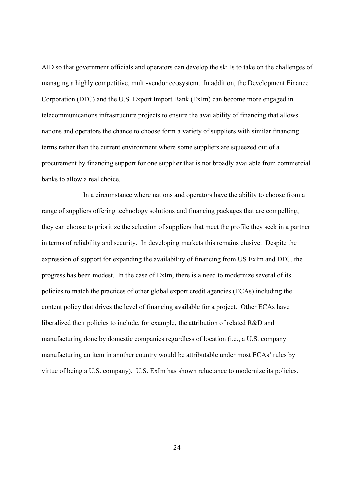AID so that government officials and operators can develop the skills to take on the challenges of managing a highly competitive, multi-vendor ecosystem. In addition, the Development Finance Corporation (DFC) and the U.S. Export Import Bank (ExIm) can become more engaged in telecommunications infrastructure projects to ensure the availability of financing that allows nations and operators the chance to choose form a variety of suppliers with similar financing terms rather than the current environment where some suppliers are squeezed out of a procurement by financing support for one supplier that is not broadly available from commercial banks to allow a real choice.

In a circumstance where nations and operators have the ability to choose from a range of suppliers offering technology solutions and financing packages that are compelling, they can choose to prioritize the selection of suppliers that meet the profile they seek in a partner in terms of reliability and security. In developing markets this remains elusive. Despite the expression of support for expanding the availability of financing from US ExIm and DFC, the progress has been modest. In the case of ExIm, there is a need to modernize several of its policies to match the practices of other global export credit agencies (ECAs) including the content policy that drives the level of financing available for a project. Other ECAs have liberalized their policies to include, for example, the attribution of related R&D and manufacturing done by domestic companies regardless of location (i.e., a U.S. company manufacturing an item in another country would be attributable under most ECAs' rules by virtue of being a U.S. company). U.S. ExIm has shown reluctance to modernize its policies.